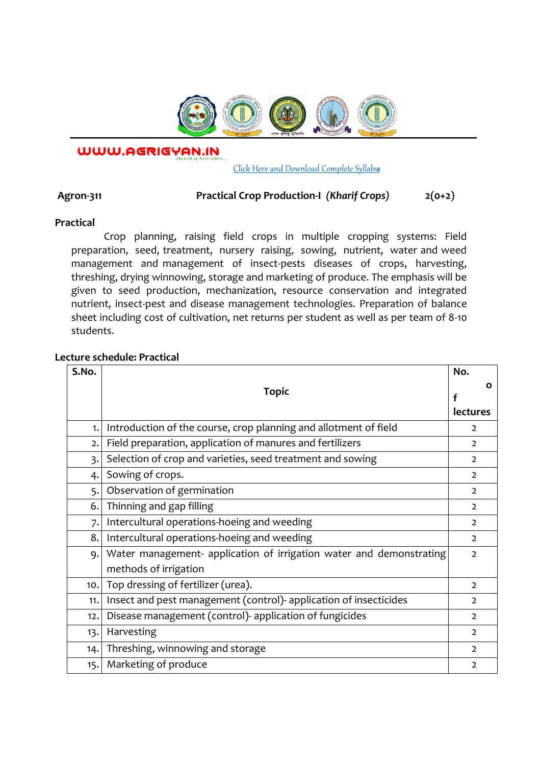

WWW.AGRIGYAN.IN

#### [Click Here and Download Complete Syllabus](http://agrigyan.in/)

# **Agron-311 Practical Crop Production-I** *(Kharif Crops)* **2(0+2)**

## **Practical**

 $\overline{a}$ 

Crop planning, raising field crops in multiple cropping systems: Field preparation, seed, treatment, nursery raising, sowing, nutrient, water and weed management and management of insect-pests diseases of crops, harvesting, threshing, drying winnowing, storage and marketing of produce. The emphasis will be given to seed production, mechanization, resource conservation and integrated nutrient, insect-pest and disease management technologies. Preparation of balance sheet including cost of cultivation, net returns per student as well as per team of 8-10 students.

## **Lecture schedule: Practical**

| S.No.            |                                                                     | No.             |
|------------------|---------------------------------------------------------------------|-----------------|
|                  | <b>Topic</b>                                                        | О               |
|                  |                                                                     | <b>lectures</b> |
|                  |                                                                     |                 |
| 1.               | Introduction of the course, crop planning and allotment of field    | $\overline{2}$  |
| 2.               | Field preparation, application of manures and fertilizers           | $\overline{2}$  |
| $\overline{3}$ . | Selection of crop and varieties, seed treatment and sowing          | $\overline{2}$  |
| 4.               | Sowing of crops.                                                    | $\mathcal{L}$   |
| 5.               | Observation of germination                                          | $\overline{2}$  |
| 6.               | Thinning and gap filling                                            | $\overline{2}$  |
| 7.               | Intercultural operations-hoeing and weeding                         | $\overline{2}$  |
| 8.               | Intercultural operations-hoeing and weeding                         | $\mathcal{L}$   |
| 9.               | Water management- application of irrigation water and demonstrating | $\mathcal{L}$   |
|                  | methods of irrigation                                               |                 |
| 10.              | Top dressing of fertilizer (urea).                                  | $\overline{2}$  |
| 11.              | Insect and pest management (control)- application of insecticides   | $\overline{2}$  |
| 12.              | Disease management (control) application of fungicides              | $\mathcal{L}$   |
| 13.              | Harvesting                                                          | $\overline{2}$  |
| 14.              | Threshing, winnowing and storage                                    | $\overline{2}$  |
| 15.              | Marketing of produce                                                | $\mathcal{L}$   |